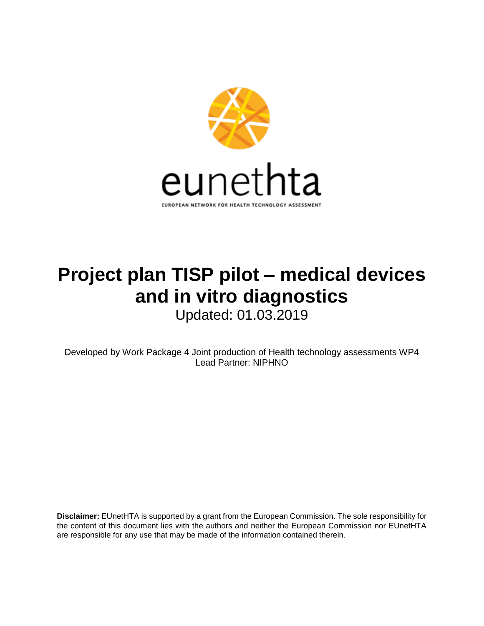

# **Project plan TISP pilot – medical devices and in vitro diagnostics**

Updated: 01.03.2019

Developed by Work Package 4 Joint production of Health technology assessments WP4 Lead Partner: NIPHNO

**Disclaimer:** EUnetHTA is supported by a grant from the European Commission. The sole responsibility for the content of this document lies with the authors and neither the European Commission nor EUnetHTA are responsible for any use that may be made of the information contained therein.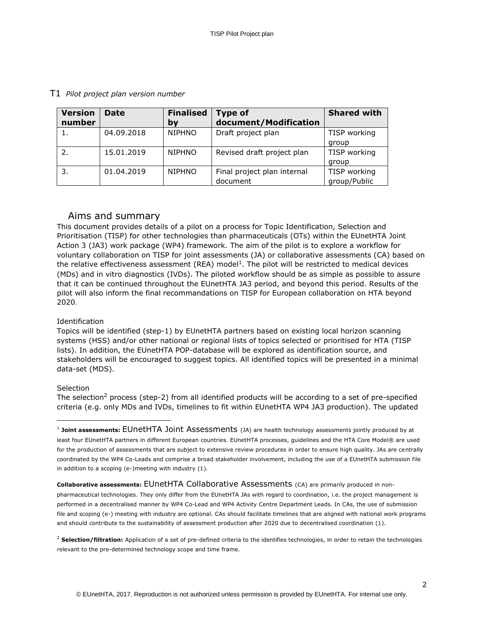| <b>Version</b><br>number | <b>Date</b> | <b>Finalised</b><br>by | <b>Type of</b><br>document/Modification | <b>Shared with</b>           |
|--------------------------|-------------|------------------------|-----------------------------------------|------------------------------|
|                          | 04.09.2018  | <b>NIPHNO</b>          | Draft project plan                      | TISP working<br>group        |
|                          | 15.01.2019  | <b>NIPHNO</b>          | Revised draft project plan              | TISP working<br>group        |
| 3.                       | 01.04.2019  | <b>NIPHNO</b>          | Final project plan internal<br>document | TISP working<br>group/Public |

## T1 *Pilot project plan version number*

## Aims and summary

This document provides details of a pilot on a process for Topic Identification, Selection and Prioritisation (TISP) for other technologies than pharmaceuticals (OTs) within the EUnetHTA Joint Action 3 (JA3) work package (WP4) framework. The aim of the pilot is to explore a workflow for voluntary collaboration on TISP for joint assessments (JA) or collaborative assessments (CA) based on the relative effectiveness assessment (REA) model<sup>1</sup>. The pilot will be restricted to medical devices (MDs) and in vitro diagnostics (IVDs). The piloted workflow should be as simple as possible to assure that it can be continued throughout the EUnetHTA JA3 period, and beyond this period. Results of the pilot will also inform the final recommandations on TISP for European collaboration on HTA beyond 2020.

## Identification

Topics will be identified (step-1) by EUnetHTA partners based on existing local horizon scanning systems (HSS) and/or other national or regional lists of topics selected or prioritised for HTA (TISP lists). In addition, the EUnetHTA POP-database will be explored as identification source, and stakeholders will be encouraged to suggest topics. All identified topics will be presented in a minimal data-set (MDS).

## **Selection**

ł

The selection<sup>2</sup> process (step-2) from all identified products will be according to a set of pre-specified criteria (e.g. only MDs and IVDs, timelines to fit within EUnetHTA WP4 JA3 production). The updated

#### **Collaborative assessments:** EUnetHTA Collaborative Assessments (CA) are primarily produced in non-

pharmaceutical technologies. They only differ from the EUnetHTA JAs with regard to coordination, i.e. the project management is performed in a decentralised manner by WP4 Co-Lead and WP4 Activity Centre Department Leads. In CAs, the use of submission file and scoping (e-) meeting with industry are optional. CAs should facilitate timelines that are aligned with national work programs and should contribute to the sustainability of assessment production after 2020 due to decentralised coordination (1).

<sup>2</sup> Selection/filtration: Application of a set of pre-defined criteria to the identifies technologies, in order to retain the technologies relevant to the pre-determined technology scope and time frame.

<sup>1</sup> **Joint assessments:** EUnetHTA Joint Assessments (JA) are health technology assessments jointly produced by at least four EUnetHTA partners in different European countries. EUnetHTA processes, guidelines and the HTA Core Model® are used for the production of assessments that are subject to extensive review procedures in order to ensure high quality. JAs are centrally coordinated by the WP4 Co-Leads and comprise a broad stakeholder involvement, including the use of a EUnetHTA submission file in addition to a scoping (e-)meeting with industry (1).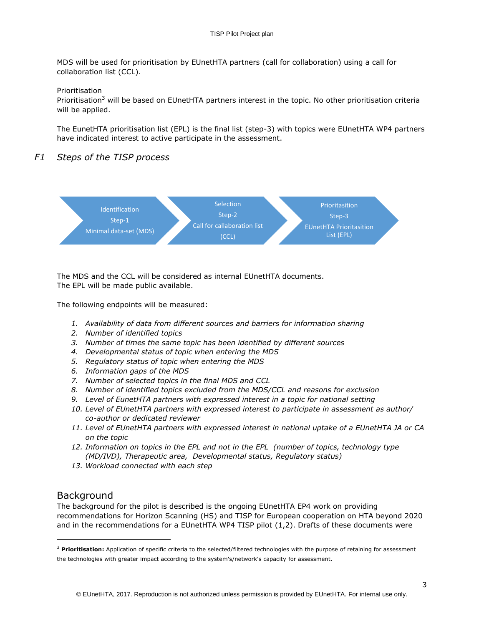MDS will be used for prioritisation by EUnetHTA partners (call for collaboration) using a call for collaboration list (CCL).

#### Prioritisation

Prioritisation<sup>3</sup> will be based on EUnetHTA partners interest in the topic. No other prioritisation criteria will be applied.

The EunetHTA prioritisation list (EPL) is the final list (step-3) with topics were EUnetHTA WP4 partners have indicated interest to active participate in the assessment.

## *F1 Steps of the TISP process*



The MDS and the CCL will be considered as internal EUnetHTA documents. The EPL will be made public available.

The following endpoints will be measured:

- *1. Availability of data from different sources and barriers for information sharing*
- *2. Number of identified topics*
- *3. Number of times the same topic has been identified by different sources*
- *4. Developmental status of topic when entering the MDS*
- *5. Regulatory status of topic when entering the MDS*
- *6. Information gaps of the MDS*
- *7. Number of selected topics in the final MDS and CCL*
- *8. Number of identified topics excluded from the MDS/CCL and reasons for exclusion*
- *9. Level of EunetHTA partners with expressed interest in a topic for national setting*
- *10. Level of EUnetHTA partners with expressed interest to participate in assessment as author/ co-author or dedicated reviewer*
- *11. Level of EUnetHTA partners with expressed interest in national uptake of a EUnetHTA JA or CA on the topic*
- *12. Information on topics in the EPL and not in the EPL (number of topics, technology type (MD/IVD), Therapeutic area, Developmental status, Regulatory status)*
- *13. Workload connected with each step*

## Background

ł

The background for the pilot is described is the ongoing EUnetHTA EP4 work on providing recommendations for Horizon Scanning (HS) and TISP for European cooperation on HTA beyond 2020 and in the recommendations for a EUnetHTA WP4 TISP pilot (1,2). Drafts of these documents were

<sup>&</sup>lt;sup>3</sup> Prioritisation: Application of specific criteria to the selected/filtered technologies with the purpose of retaining for assessment the technologies with greater impact according to the system's/network's capacity for assessment.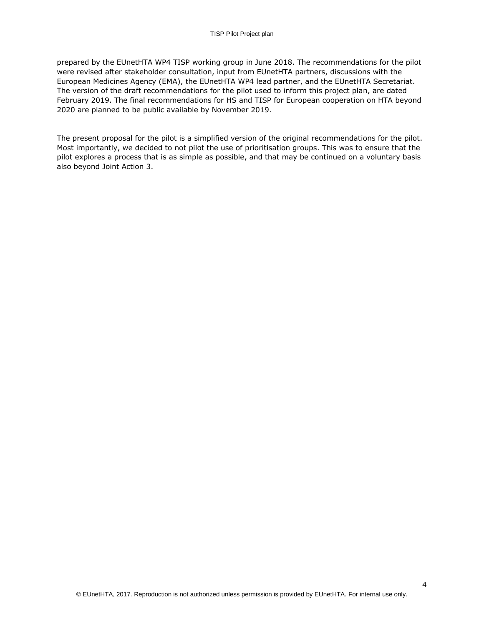prepared by the EUnetHTA WP4 TISP working group in June 2018. The recommendations for the pilot were revised after stakeholder consultation, input from EUnetHTA partners, discussions with the European Medicines Agency (EMA), the EUnetHTA WP4 lead partner, and the EUnetHTA Secretariat. The version of the draft recommendations for the pilot used to inform this project plan, are dated February 2019. The final recommendations for HS and TISP for European cooperation on HTA beyond 2020 are planned to be public available by November 2019.

The present proposal for the pilot is a simplified version of the original recommendations for the pilot. Most importantly, we decided to not pilot the use of prioritisation groups. This was to ensure that the pilot explores a process that is as simple as possible, and that may be continued on a voluntary basis also beyond Joint Action 3.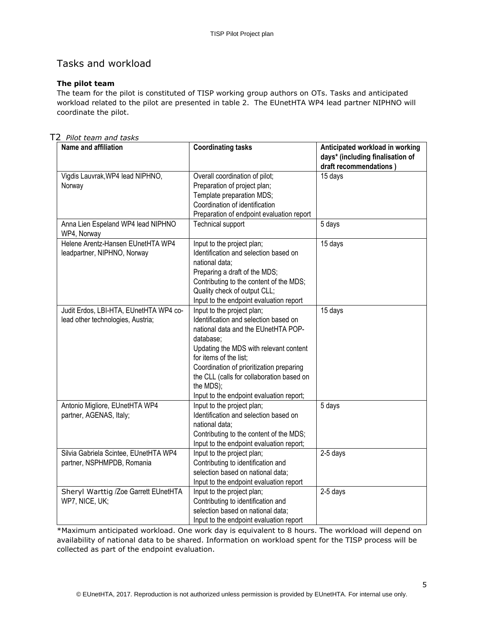# Tasks and workload

## **The pilot team**

The team for the pilot is constituted of TISP working group authors on OTs. Tasks and anticipated workload related to the pilot are presented in table 2. The EUnetHTA WP4 lead partner NIPHNO will coordinate the pilot.

T2 *Pilot team and tasks*

| Name and affiliation                                                        | <b>Coordinating tasks</b>                                                                                                                                                                                                                                                                                                                     | Anticipated workload in working<br>days* (including finalisation of<br>draft recommendations) |
|-----------------------------------------------------------------------------|-----------------------------------------------------------------------------------------------------------------------------------------------------------------------------------------------------------------------------------------------------------------------------------------------------------------------------------------------|-----------------------------------------------------------------------------------------------|
| Vigdis Lauvrak, WP4 lead NIPHNO,<br>Norway                                  | Overall coordination of pilot;<br>Preparation of project plan;<br>Template preparation MDS;<br>Coordination of identification<br>Preparation of endpoint evaluation report                                                                                                                                                                    | 15 days                                                                                       |
| Anna Lien Espeland WP4 lead NIPHNO<br>WP4, Norway                           | <b>Technical support</b>                                                                                                                                                                                                                                                                                                                      | 5 days                                                                                        |
| Helene Arentz-Hansen EUnetHTA WP4<br>leadpartner, NIPHNO, Norway            | Input to the project plan;<br>Identification and selection based on<br>national data;<br>Preparing a draft of the MDS;<br>Contributing to the content of the MDS;<br>Quality check of output CLL;<br>Input to the endpoint evaluation report                                                                                                  | 15 days                                                                                       |
| Judit Erdos, LBI-HTA, EUnetHTA WP4 co-<br>lead other technologies, Austria; | Input to the project plan;<br>Identification and selection based on<br>national data and the EUnetHTA POP-<br>database;<br>Updating the MDS with relevant content<br>for items of the list:<br>Coordination of prioritization preparing<br>the CLL (calls for collaboration based on<br>the MDS);<br>Input to the endpoint evaluation report; | 15 days                                                                                       |
| Antonio Migliore, EUnetHTA WP4<br>partner, AGENAS, Italy;                   | Input to the project plan;<br>Identification and selection based on<br>national data;<br>Contributing to the content of the MDS;<br>Input to the endpoint evaluation report;                                                                                                                                                                  | 5 days                                                                                        |
| Silvia Gabriela Scintee, EUnetHTA WP4<br>partner, NSPHMPDB, Romania         | Input to the project plan;<br>Contributing to identification and<br>selection based on national data;<br>Input to the endpoint evaluation report                                                                                                                                                                                              | 2-5 days                                                                                      |
| Sheryl Warttig /Zoe Garrett EUnetHTA<br>WP7, NICE, UK;                      | Input to the project plan;<br>Contributing to identification and<br>selection based on national data;<br>Input to the endpoint evaluation report                                                                                                                                                                                              | 2-5 days                                                                                      |

\*Maximum anticipated workload. One work day is equivalent to 8 hours. The workload will depend on availability of national data to be shared. Information on workload spent for the TISP process will be collected as part of the endpoint evaluation.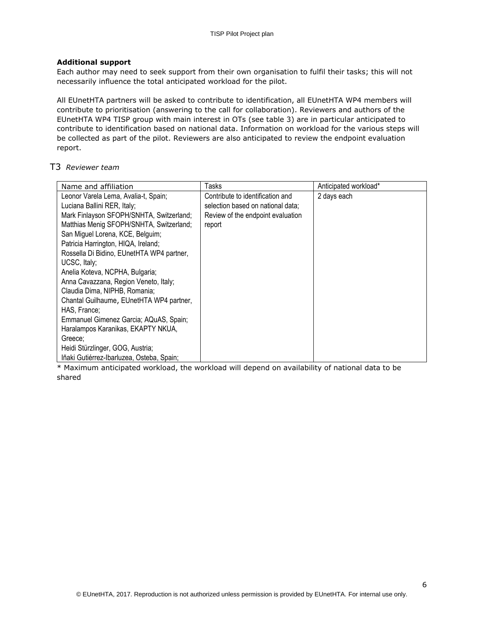#### **Additional support**

Each author may need to seek support from their own organisation to fulfil their tasks; this will not necessarily influence the total anticipated workload for the pilot.

All EUnetHTA partners will be asked to contribute to identification, all EUnetHTA WP4 members will contribute to prioritisation (answering to the call for collaboration). Reviewers and authors of the EUnetHTA WP4 TISP group with main interest in OTs (see table 3) are in particular anticipated to contribute to identification based on national data. Information on workload for the various steps will be collected as part of the pilot. Reviewers are also anticipated to review the endpoint evaluation report.

## T3 *Reviewer team*

| Name and affiliation                                                                                                                                                                                                                                                                                                                                                                                                                                                                                                                                                                                        | Tasks                                                                                                                | Anticipated workload* |
|-------------------------------------------------------------------------------------------------------------------------------------------------------------------------------------------------------------------------------------------------------------------------------------------------------------------------------------------------------------------------------------------------------------------------------------------------------------------------------------------------------------------------------------------------------------------------------------------------------------|----------------------------------------------------------------------------------------------------------------------|-----------------------|
| Leonor Varela Lema, Avalia-t, Spain;<br>Luciana Ballini RER, Italy;<br>Mark Finlayson SFOPH/SNHTA, Switzerland;<br>Matthias Menig SFOPH/SNHTA, Switzerland;<br>San Miguel Lorena, KCE, Belguim;<br>Patricia Harrington, HIQA, Ireland;<br>Rossella Di Bidino, EUnetHTA WP4 partner,<br>UCSC, Italy;<br>Anelia Koteva, NCPHA, Bulgaria;<br>Anna Cavazzana, Region Veneto, Italy;<br>Claudia Dima, NIPHB, Romania;<br>Chantal Guilhaume, EUnetHTA WP4 partner,<br>HAS. France:<br>Emmanuel Gimenez Garcia; AQuAS, Spain;<br>Haralampos Karanikas, EKAPTY NKUA,<br>Greece;<br>Heidi Stürzlinger, GOG, Austria; | Contribute to identification and<br>selection based on national data;<br>Review of the endpoint evaluation<br>report | 2 days each           |
| Iñaki Gutiérrez-Ibarluzea, Osteba, Spain;                                                                                                                                                                                                                                                                                                                                                                                                                                                                                                                                                                   |                                                                                                                      |                       |

\* Maximum anticipated workload, the workload will depend on availability of national data to be shared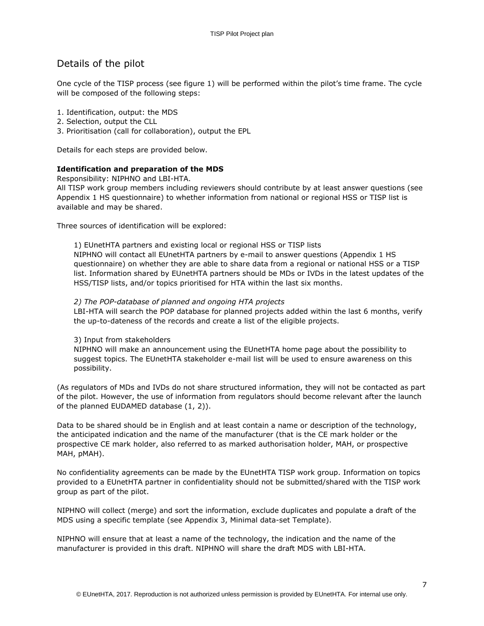# Details of the pilot

One cycle of the TISP process (see figure 1) will be performed within the pilot's time frame. The cycle will be composed of the following steps:

- 1. Identification, output: the MDS
- 2. Selection, output the CLL
- 3. Prioritisation (call for collaboration), output the EPL

Details for each steps are provided below.

## **Identification and preparation of the MDS**

Responsibility: NIPHNO and LBI-HTA.

All TISP work group members including reviewers should contribute by at least answer questions (see Appendix 1 HS questionnaire) to whether information from national or regional HSS or TISP list is available and may be shared.

Three sources of identification will be explored:

#### 1) EUnetHTA partners and existing local or regional HSS or TISP lists

NIPHNO will contact all EUnetHTA partners by e-mail to answer questions (Appendix 1 HS questionnaire) on whether they are able to share data from a regional or national HSS or a TISP list. Information shared by EUnetHTA partners should be MDs or IVDs in the latest updates of the HSS/TISP lists, and/or topics prioritised for HTA within the last six months.

#### *2) The POP-database of planned and ongoing HTA projects*

LBI-HTA will search the POP database for planned projects added within the last 6 months, verify the up-to-dateness of the records and create a list of the eligible projects.

#### 3) Input from stakeholders

NIPHNO will make an announcement using the EUnetHTA home page about the possibility to suggest topics. The EUnetHTA stakeholder e-mail list will be used to ensure awareness on this possibility.

(As regulators of MDs and IVDs do not share structured information, they will not be contacted as part of the pilot. However, the use of information from regulators should become relevant after the launch of the planned EUDAMED database (1, 2)).

Data to be shared should be in English and at least contain a name or description of the technology, the anticipated indication and the name of the manufacturer (that is the CE mark holder or the prospective CE mark holder, also referred to as marked authorisation holder, MAH, or prospective MAH, pMAH).

No confidentiality agreements can be made by the EUnetHTA TISP work group. Information on topics provided to a EUnetHTA partner in confidentiality should not be submitted/shared with the TISP work group as part of the pilot.

NIPHNO will collect (merge) and sort the information, exclude duplicates and populate a draft of the MDS using a specific template (see Appendix 3, Minimal data-set Template).

NIPHNO will ensure that at least a name of the technology, the indication and the name of the manufacturer is provided in this draft. NIPHNO will share the draft MDS with LBI-HTA.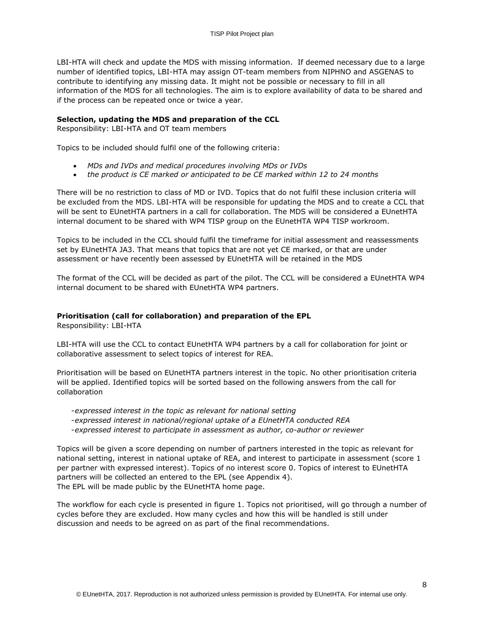LBI-HTA will check and update the MDS with missing information. If deemed necessary due to a large number of identified topics, LBI-HTA may assign OT-team members from NIPHNO and ASGENAS to contribute to identifying any missing data. It might not be possible or necessary to fill in all information of the MDS for all technologies. The aim is to explore availability of data to be shared and if the process can be repeated once or twice a year.

#### **Selection, updating the MDS and preparation of the CCL**

Responsibility: LBI-HTA and OT team members

Topics to be included should fulfil one of the following criteria:

- *MDs and IVDs and medical procedures involving MDs or IVDs*
- *the product is CE marked or anticipated to be CE marked within 12 to 24 months*

There will be no restriction to class of MD or IVD. Topics that do not fulfil these inclusion criteria will be excluded from the MDS. LBI-HTA will be responsible for updating the MDS and to create a CCL that will be sent to EUnetHTA partners in a call for collaboration. The MDS will be considered a EUnetHTA internal document to be shared with WP4 TISP group on the EUnetHTA WP4 TISP workroom.

Topics to be included in the CCL should fulfil the timeframe for initial assessment and reassessments set by EUnetHTA JA3. That means that topics that are not yet CE marked, or that are under assessment or have recently been assessed by EUnetHTA will be retained in the MDS

The format of the CCL will be decided as part of the pilot. The CCL will be considered a EUnetHTA WP4 internal document to be shared with EUnetHTA WP4 partners.

## **Prioritisation (call for collaboration) and preparation of the EPL**

Responsibility: LBI-HTA

LBI-HTA will use the CCL to contact EUnetHTA WP4 partners by a call for collaboration for joint or collaborative assessment to select topics of interest for REA.

Prioritisation will be based on EUnetHTA partners interest in the topic. No other prioritisation criteria will be applied. Identified topics will be sorted based on the following answers from the call for collaboration

-*expressed interest in the topic as relevant for national setting*  -*expressed interest in national/regional uptake of a EUnetHTA conducted REA*  -*expressed interest to participate in assessment as author, co-author or reviewer*

Topics will be given a score depending on number of partners interested in the topic as relevant for national setting, interest in national uptake of REA, and interest to participate in assessment (score 1 per partner with expressed interest). Topics of no interest score 0. Topics of interest to EUnetHTA partners will be collected an entered to the EPL (see Appendix 4). The EPL will be made public by the EUnetHTA home page.

The workflow for each cycle is presented in figure 1. Topics not prioritised, will go through a number of cycles before they are excluded. How many cycles and how this will be handled is still under discussion and needs to be agreed on as part of the final recommendations.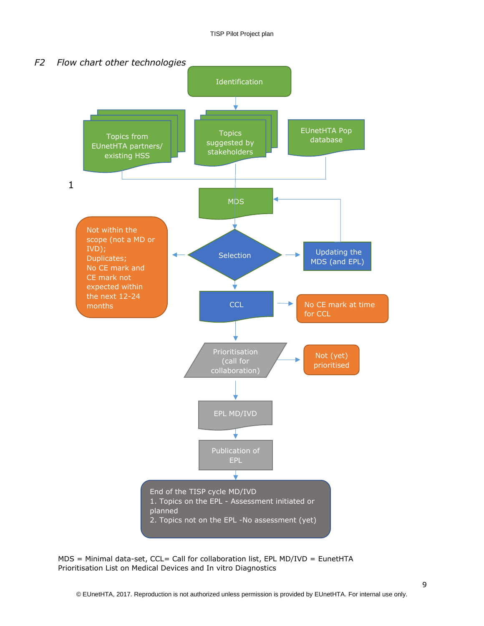

 $MDS =$  Minimal data-set, CCL= Call for collaboration list, EPL MD/IVD = EunetHTA Prioritisation List on Medical Devices and In vitro Diagnostics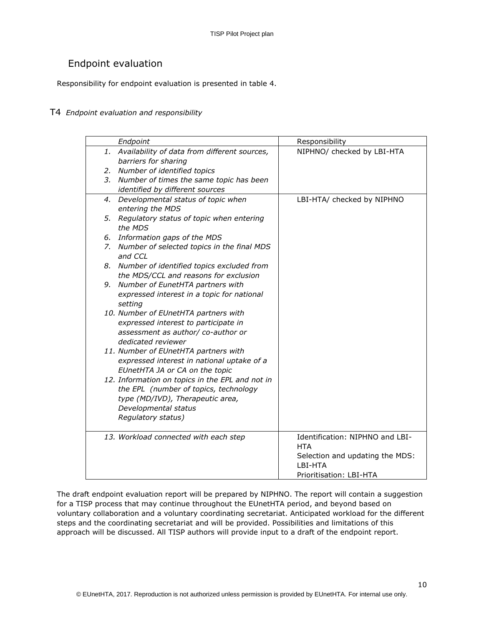# Endpoint evaluation

Responsibility for endpoint evaluation is presented in table 4.

## T4 *Endpoint evaluation and responsibility*

| Endpoint                                        | Responsibility                  |
|-------------------------------------------------|---------------------------------|
| 1. Availability of data from different sources, | NIPHNO/ checked by LBI-HTA      |
| barriers for sharing                            |                                 |
| 2. Number of identified topics                  |                                 |
| 3. Number of times the same topic has been      |                                 |
| identified by different sources                 |                                 |
| 4. Developmental status of topic when           | LBI-HTA/ checked by NIPHNO      |
| entering the MDS                                |                                 |
| 5. Regulatory status of topic when entering     |                                 |
| the MDS                                         |                                 |
| 6. Information gaps of the MDS                  |                                 |
| 7. Number of selected topics in the final MDS   |                                 |
| and CCL                                         |                                 |
| 8. Number of identified topics excluded from    |                                 |
| the MDS/CCL and reasons for exclusion           |                                 |
| 9. Number of EunetHTA partners with             |                                 |
| expressed interest in a topic for national      |                                 |
| setting                                         |                                 |
| 10. Number of EUnetHTA partners with            |                                 |
| expressed interest to participate in            |                                 |
| assessment as author/ co-author or              |                                 |
| dedicated reviewer                              |                                 |
| 11. Number of EUnetHTA partners with            |                                 |
| expressed interest in national uptake of a      |                                 |
| EUnetHTA JA or CA on the topic                  |                                 |
| 12. Information on topics in the EPL and not in |                                 |
| the EPL (number of topics, technology           |                                 |
| type (MD/IVD), Therapeutic area,                |                                 |
| Developmental status                            |                                 |
| Regulatory status)                              |                                 |
| 13. Workload connected with each step           | Identification: NIPHNO and LBI- |
|                                                 | HTA                             |
|                                                 | Selection and updating the MDS: |
|                                                 | LBI-HTA                         |
|                                                 | Prioritisation: LBI-HTA         |

The draft endpoint evaluation report will be prepared by NIPHNO. The report will contain a suggestion for a TISP process that may continue throughout the EUnetHTA period, and beyond based on voluntary collaboration and a voluntary coordinating secretariat. Anticipated workload for the different steps and the coordinating secretariat and will be provided. Possibilities and limitations of this approach will be discussed. All TISP authors will provide input to a draft of the endpoint report.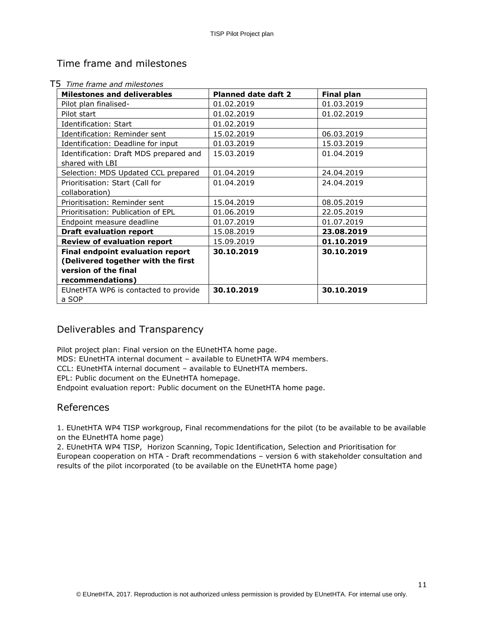# Time frame and milestones

| <b>Milestones and deliverables</b>      | <b>Planned date daft 2</b> | <b>Final plan</b> |
|-----------------------------------------|----------------------------|-------------------|
| Pilot plan finalised-                   | 01.02.2019                 | 01.03.2019        |
| Pilot start                             | 01.02.2019                 | 01.02.2019        |
| Identification: Start                   | 01.02.2019                 |                   |
| Identification: Reminder sent           | 15.02.2019                 | 06.03.2019        |
| Identification: Deadline for input      | 01.03.2019                 | 15.03.2019        |
| Identification: Draft MDS prepared and  | 15.03.2019                 | 01.04.2019        |
| shared with LBI                         |                            |                   |
| Selection: MDS Updated CCL prepared     | 01.04.2019                 | 24.04.2019        |
| Prioritisation: Start (Call for         | 01.04.2019                 | 24.04.2019        |
| collaboration)                          |                            |                   |
| Prioritisation: Reminder sent           | 15.04.2019                 | 08.05.2019        |
| Prioritisation: Publication of EPL      | 01.06.2019                 | 22.05.2019        |
| Endpoint measure deadline               | 01.07.2019                 | 01.07.2019        |
| <b>Draft evaluation report</b>          | 15.08.2019                 | 23.08.2019        |
| <b>Review of evaluation report</b>      | 15.09.2019                 | 01.10.2019        |
| <b>Final endpoint evaluation report</b> | 30.10.2019                 | 30.10.2019        |
| (Delivered together with the first      |                            |                   |
| version of the final                    |                            |                   |
| recommendations)                        |                            |                   |
| EUnetHTA WP6 is contacted to provide    | 30.10.2019                 | 30.10.2019        |
| a SOP                                   |                            |                   |

## T5 *Time frame and milestones*

# Deliverables and Transparency

Pilot project plan: Final version on the EUnetHTA home page.

MDS: EUnetHTA internal document – available to EUnetHTA WP4 members.

CCL: EUnetHTA internal document – available to EUnetHTA members.

EPL: Public document on the EUnetHTA homepage.

Endpoint evaluation report: Public document on the EUnetHTA home page.

## References

1. EUnetHTA WP4 TISP workgroup, Final recommendations for the pilot (to be available to be available on the EUnetHTA home page)

2. EUnetHTA WP4 TISP, Horizon Scanning, Topic Identification, Selection and Prioritisation for European cooperation on HTA - Draft recommendations – version 6 with stakeholder consultation and results of the pilot incorporated (to be available on the EUnetHTA home page)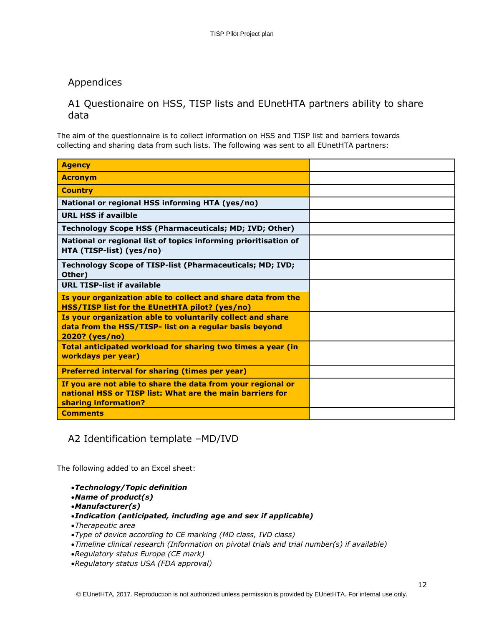# Appendices

# A1 Questionaire on HSS, TISP lists and EUnetHTA partners ability to share data

The aim of the questionnaire is to collect information on HSS and TISP list and barriers towards collecting and sharing data from such lists. The following was sent to all EUnetHTA partners:

| <b>Agency</b>                                                                                                                                    |  |
|--------------------------------------------------------------------------------------------------------------------------------------------------|--|
| <b>Acronym</b>                                                                                                                                   |  |
| <b>Country</b>                                                                                                                                   |  |
| National or regional HSS informing HTA (yes/no)                                                                                                  |  |
| <b>URL HSS if availble</b>                                                                                                                       |  |
| Technology Scope HSS (Pharmaceuticals; MD; IVD; Other)                                                                                           |  |
| National or regional list of topics informing prioritisation of<br>HTA (TISP-list) (yes/no)                                                      |  |
| Technology Scope of TISP-list (Pharmaceuticals; MD; IVD;<br>Other)                                                                               |  |
| <b>URL TISP-list if available</b>                                                                                                                |  |
| Is your organization able to collect and share data from the<br>HSS/TISP list for the EUnetHTA pilot? (yes/no)                                   |  |
| Is your organization able to voluntarily collect and share                                                                                       |  |
| data from the HSS/TISP- list on a regular basis beyond<br>2020? (yes/no)                                                                         |  |
| Total anticipated workload for sharing two times a year (in<br>workdays per year)                                                                |  |
| <b>Preferred interval for sharing (times per year)</b>                                                                                           |  |
| If you are not able to share the data from your regional or<br>national HSS or TISP list: What are the main barriers for<br>sharing information? |  |

# A2 Identification template –MD/IVD

The following added to an Excel sheet:

- *Technology/Topic definition*
- *Name of product(s)*
- *Manufacturer(s)*
- *Indication (anticipated, including age and sex if applicable)*
- *Therapeutic area*
- *Type of device according to CE marking (MD class, IVD class)*
- *Timeline clinical research (Information on pivotal trials and trial number(s) if available)*
- *Regulatory status Europe (CE mark)*
- *Regulatory status USA (FDA approval)*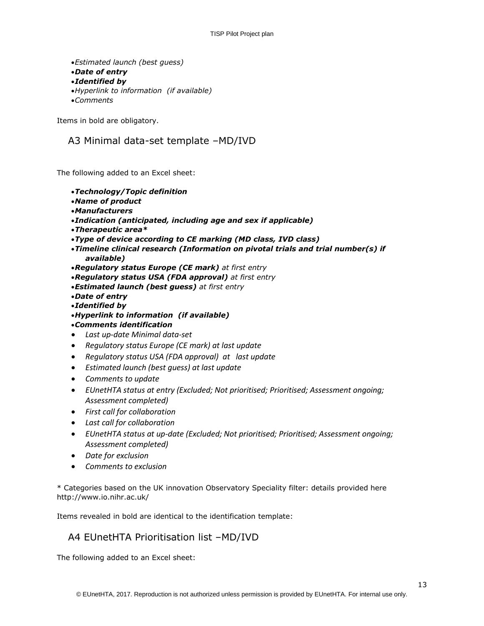```
Estimated launch (best guess) 
Date of entry 
Identified by 
Hyperlink to information (if available)
Comments
```
Items in bold are obligatory.

# A3 Minimal data-set template –MD/IVD

The following added to an Excel sheet:

- *Technology/Topic definition*
- *Name of product*
- *Manufacturers*
- *Indication (anticipated, including age and sex if applicable)*
- *Therapeutic area\**
- *Type of device according to CE marking (MD class, IVD class)*
- *Timeline clinical research (Information on pivotal trials and trial number(s) if available)*
- *Regulatory status Europe (CE mark) at first entry*
- *Regulatory status USA (FDA approval) at first entry*
- *Estimated launch (best guess) at first entry*
- *Date of entry*
- *Identified by*
- *Hyperlink to information (if available)*
- *Comments identification*
- *Last up-date Minimal data-set*
- *Regulatory status Europe (CE mark) at last update*
- *Regulatory status USA (FDA approval) at last update*
- *Estimated launch (best guess) at last update*
- *Comments to update*
- *EUnetHTA status at entry (Excluded; Not prioritised; Prioritised; Assessment ongoing; Assessment completed)*
- *First call for collaboration*
- *Last call for collaboration*
- *EUnetHTA status at up-date (Excluded; Not prioritised; Prioritised; Assessment ongoing; Assessment completed)*
- *Date for exclusion*
- *Comments to exclusion*

\* Categories based on the UK innovation Observatory Speciality filter: details provided here http://www.io.nihr.ac.uk/

Items revealed in bold are identical to the identification template:

# A4 EUnetHTA Prioritisation list –MD/IVD

The following added to an Excel sheet: